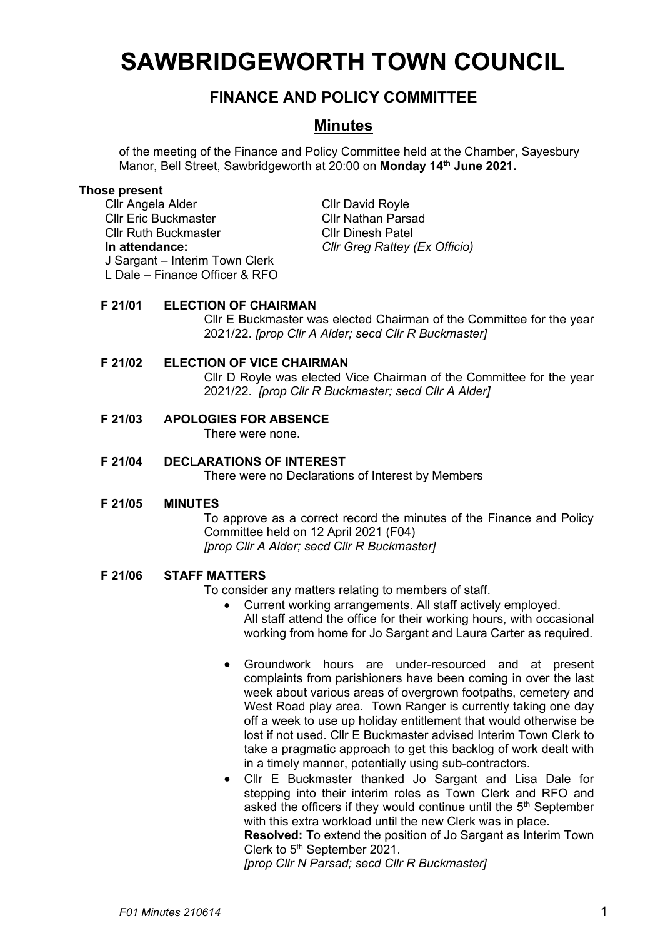# **SAWBRIDGEWORTH TOWN COUNCIL**

# **FINANCE AND POLICY COMMITTEE**

# **Minutes**

of the meeting of the Finance and Policy Committee held at the Chamber, Sayesbury Manor, Bell Street, Sawbridgeworth at 20:00 on **Monday 14th June 2021.**

#### **Those present**

Cllr Angela Alder Cllr David Royle Cllr Eric Buckmaster Cllr Nathan Parsad Cllr Ruth Buckmaster Cllr Dinesh Patel **In attendance:** *Cllr Greg Rattey (Ex Officio)* J Sargant – Interim Town Clerk L Dale – Finance Officer & RFO

# **F 21/01 ELECTION OF CHAIRMAN**

Cllr E Buckmaster was elected Chairman of the Committee for the year 2021/22. *[prop Cllr A Alder; secd Cllr R Buckmaster]*

# **F 21/02 ELECTION OF VICE CHAIRMAN**

Cllr D Royle was elected Vice Chairman of the Committee for the year 2021/22. *[prop Cllr R Buckmaster; secd Cllr A Alder]*

# **F 21/03 APOLOGIES FOR ABSENCE**

There were none.

# **F 21/04 DECLARATIONS OF INTEREST**

There were no Declarations of Interest by Members

# **F 21/05 MINUTES**

To approve as a correct record the minutes of the Finance and Policy Committee held on 12 April 2021 (F04) *[prop Cllr A Alder; secd Cllr R Buckmaster]*

# **F 21/06 STAFF MATTERS**

To consider any matters relating to members of staff.

- Current working arrangements. All staff actively employed. All staff attend the office for their working hours, with occasional working from home for Jo Sargant and Laura Carter as required.
- Groundwork hours are under-resourced and at present complaints from parishioners have been coming in over the last week about various areas of overgrown footpaths, cemetery and West Road play area. Town Ranger is currently taking one day off a week to use up holiday entitlement that would otherwise be lost if not used. Cllr E Buckmaster advised Interim Town Clerk to take a pragmatic approach to get this backlog of work dealt with in a timely manner, potentially using sub-contractors.

• Cllr E Buckmaster thanked Jo Sargant and Lisa Dale for stepping into their interim roles as Town Clerk and RFO and asked the officers if they would continue until the 5<sup>th</sup> September with this extra workload until the new Clerk was in place. **Resolved:** To extend the position of Jo Sargant as Interim Town Clerk to 5<sup>th</sup> September 2021. *[prop Cllr N Parsad; secd Cllr R Buckmaster]*